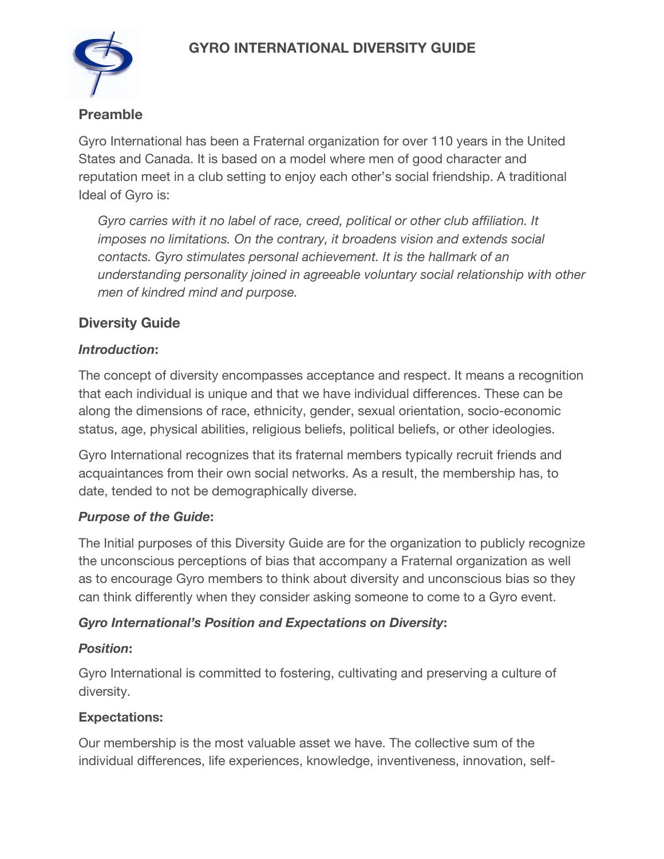# **GYRO INTERNATIONAL DIVERSITY GUIDE**



# **Preamble**

Gyro International has been a Fraternal organization for over 110 years in the United States and Canada. It is based on a model where men of good character and reputation meet in a club setting to enjoy each other's social friendship. A traditional Ideal of Gyro is:

*Gyro carries with it no label of race, creed, political or other club affiliation. It imposes no limitations. On the contrary, it broadens vision and extends social contacts. Gyro stimulates personal achievement. It is the hallmark of an understanding personality joined in agreeable voluntary social relationship with other men of kindred mind and purpose.* 

# **Diversity Guide**

# *Introduction***:**

The concept of diversity encompasses acceptance and respect. It means a recognition that each individual is unique and that we have individual differences. These can be along the dimensions of race, ethnicity, gender, sexual orientation, socio-economic status, age, physical abilities, religious beliefs, political beliefs, or other ideologies.

Gyro International recognizes that its fraternal members typically recruit friends and acquaintances from their own social networks. As a result, the membership has, to date, tended to not be demographically diverse.

#### *Purpose of the Guide***:**

The Initial purposes of this Diversity Guide are for the organization to publicly recognize the unconscious perceptions of bias that accompany a Fraternal organization as well as to encourage Gyro members to think about diversity and unconscious bias so they can think differently when they consider asking someone to come to a Gyro event.

# *Gyro International's Position and Expectations on Diversity***:**

# *Position***:**

Gyro International is committed to fostering, cultivating and preserving a culture of diversity.

# **Expectations:**

Our membership is the most valuable asset we have. The collective sum of the individual differences, life experiences, knowledge, inventiveness, innovation, self